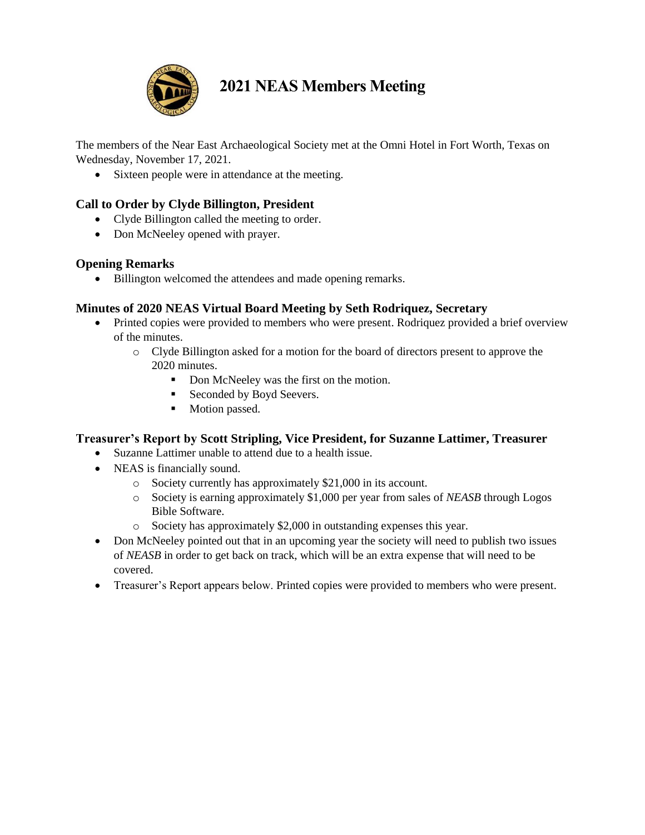

# **2021 NEAS Members Meeting**

The members of the Near East Archaeological Society met at the Omni Hotel in Fort Worth, Texas on Wednesday, November 17, 2021.

• Sixteen people were in attendance at the meeting.

## **Call to Order by Clyde Billington, President**

- Clyde Billington called the meeting to order.
- Don McNeeley opened with prayer.

## **Opening Remarks**

• Billington welcomed the attendees and made opening remarks.

## **Minutes of 2020 NEAS Virtual Board Meeting by Seth Rodriquez, Secretary**

- Printed copies were provided to members who were present. Rodriquez provided a brief overview of the minutes.
	- o Clyde Billington asked for a motion for the board of directors present to approve the 2020 minutes.
		- Don McNeeley was the first on the motion.
		- Seconded by Boyd Seevers.
		- Motion passed.

## **Treasurer's Report by Scott Stripling, Vice President, for Suzanne Lattimer, Treasurer**

- Suzanne Lattimer unable to attend due to a health issue.
- NEAS is financially sound.
	- o Society currently has approximately \$21,000 in its account.
	- o Society is earning approximately \$1,000 per year from sales of *NEASB* through Logos Bible Software.
	- o Society has approximately \$2,000 in outstanding expenses this year.
- Don McNeeley pointed out that in an upcoming year the society will need to publish two issues of *NEASB* in order to get back on track, which will be an extra expense that will need to be covered.
- Treasurer's Report appears below. Printed copies were provided to members who were present.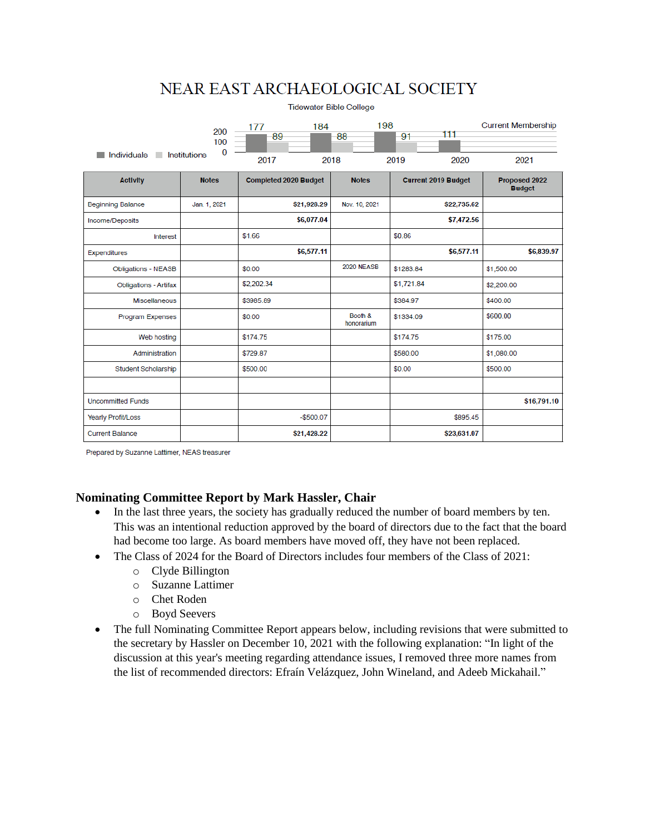## NEAR EAST ARCHAEOLOGICAL SOCIETY

| <b>Tidewater Bible College</b> |                 |                       |                       |                            |                                |  |
|--------------------------------|-----------------|-----------------------|-----------------------|----------------------------|--------------------------------|--|
|                                | 200<br>100<br>0 | 184<br>177<br>89      | 198<br>88             | 111<br>91                  | <b>Current Membership</b>      |  |
| Individuals<br>Institutions    |                 | 2017                  | 2018                  | 2019<br>2020               | 2021                           |  |
| <b>Activity</b>                | <b>Notes</b>    | Completed 2020 Budget | <b>Notes</b>          | <b>Current 2019 Budget</b> | Proposed 2022<br><b>Budget</b> |  |
| <b>Beginning Balance</b>       | Jan. 1, 2021    | \$21,928.29           | Nov. 10, 2021         | \$22,735.62                |                                |  |
| Income/Deposits                |                 | \$6,077.04            |                       | \$7,472.56                 |                                |  |
| Interest                       |                 | \$1.66                |                       | \$0.86                     |                                |  |
| Expenditures                   |                 | \$6,577.11            |                       | \$6,577.11                 | \$6,839.97                     |  |
| <b>Obligations - NEASB</b>     |                 | \$0.00                | <b>2020 NEASB</b>     | \$1283.84                  | \$1,500.00                     |  |
| <b>Obligations - Artifax</b>   |                 | \$2,202.34            |                       | \$1,721.84                 | \$2,200.00                     |  |
| <b>Miscellaneous</b>           |                 | \$3985.89             |                       | \$384.97                   | \$400.00                       |  |
| <b>Program Expenses</b>        |                 | \$0.00                | Booth &<br>honorarium | \$1334.09                  | \$600.00                       |  |
| Web hosting                    |                 | \$174.75              |                       | \$174.75                   | \$175.00                       |  |
| Administration                 |                 | \$729.87              |                       | \$580.00                   | \$1,080.00                     |  |
| Student Scholarship            |                 | \$500.00              |                       | \$0.00                     | \$500.00                       |  |
|                                |                 |                       |                       |                            |                                |  |
| <b>Uncommitted Funds</b>       |                 |                       |                       |                            | \$16,791.10                    |  |
| <b>Yearly Profit/Loss</b>      |                 | $-$500.07$            |                       | \$895.45                   |                                |  |
| <b>Current Balance</b>         |                 | \$21,428.22           |                       | \$23,631.07                |                                |  |

Prepared by Suzanne Lattimer, NEAS treasurer

### **Nominating Committee Report by Mark Hassler, Chair**

- In the last three years, the society has gradually reduced the number of board members by ten. This was an intentional reduction approved by the board of directors due to the fact that the board had become too large. As board members have moved off, they have not been replaced.
- The Class of 2024 for the Board of Directors includes four members of the Class of 2021:
	- o Clyde Billington
	- o Suzanne Lattimer
	- o Chet Roden
	- o Boyd Seevers
- The full Nominating Committee Report appears below, including revisions that were submitted to the secretary by Hassler on December 10, 2021 with the following explanation: "In light of the discussion at this year's meeting regarding attendance issues, I removed three more names from the list of recommended directors: Efraín Velázquez, John Wineland, and Adeeb Mickahail."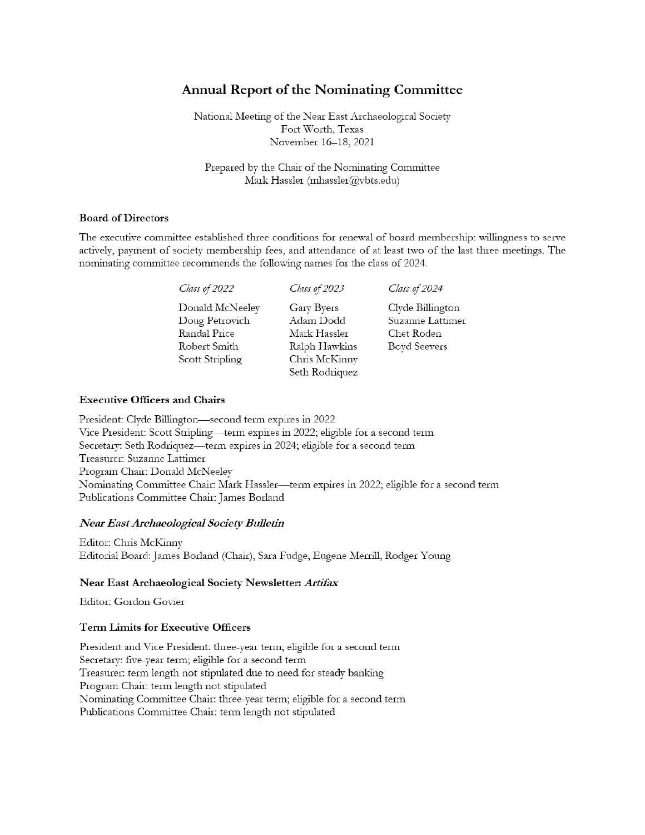## **Annual Report of the Nominating Committee**

National Meeting of the Near East Archaeological Society Fort Worth, Texas November 16-18, 2021

Prepared by the Chair of the Nominating Committee Mark Hassler (mhassler@vbts.edu)

#### **Board of Directors**

The executive committee established three conditions for renewal of board membership: willingness to serve actively, payment of society membership fees, and attendance of at least two of the last three meetings. The nominating committee recommends the following names for the class of 2024.

| Class of 2022                                                                        | Class of 2023                                                                               | Class of 2024                                                      |
|--------------------------------------------------------------------------------------|---------------------------------------------------------------------------------------------|--------------------------------------------------------------------|
| Donald McNeeley<br>Doug Petrovich<br>Randal Price<br>Robert Smith<br>Scott Stripling | Gary Byers<br>Adam Dodd<br>Mark Hassler<br>Ralph Hawkins<br>Chris McKinny<br>Seth Rodriquez | Clyde Billington<br>Suzanne Lattimer<br>Chet Roden<br>Boyd Seevers |
|                                                                                      |                                                                                             |                                                                    |

#### **Executive Officers and Chairs**

President: Clyde Billington—second term expires in 2022 Vice President: Scott Stripling—term expires in 2022; eligible for a second term Secretary: Seth Rodriquez—term expires in 2024; eligible for a second term Treasurer: Suzanne Lattimer Program Chair: Donald McNeeley Nominating Committee Chair: Mark Hassler—term expires in 2022; eligible for a second term Publications Committee Chair: James Borland

#### Near East Archaeological Society Bulletin

Editor: Chris McKinny Editorial Board: James Borland (Chair), Sara Fudge, Eugene Merrill, Rodger Young

#### Near East Archaeological Society Newsletter: Artifax

Editor: Gordon Govier

#### **Term Limits for Executive Officers**

President and Vice President: three-year term; eligible for a second term Secretary: five-year term; eligible for a second term Treasurer: term length not stipulated due to need for steady banking Program Chair: term length not stipulated Nominating Committee Chair: three-year term; eligible for a second term Publications Committee Chair: term length not stipulated